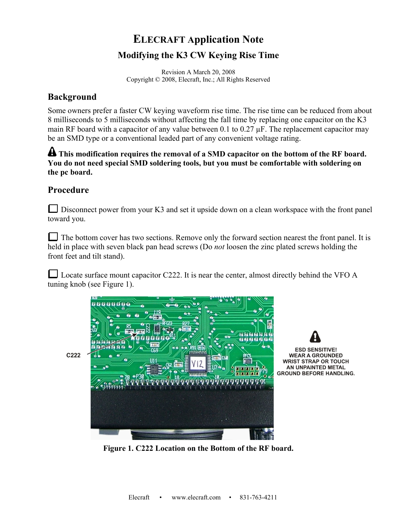## **ELECRAFT Application Note Modifying the K3 CW Keying Rise Time**

Revision A March 20, 2008 Copyright © 2008, Elecraft, Inc.; All Rights Reserved

## **Background**

Some owners prefer a faster CW keying waveform rise time. The rise time can be reduced from about 8 milliseconds to 5 milliseconds without affecting the fall time by replacing one capacitor on the K3 main RF board with a capacitor of any value between 0.1 to 0.27  $\mu$ F. The replacement capacitor may be an SMD type or a conventional leaded part of any convenient voltage rating.

**A** This modification requires the removal of a SMD capacitor on the bottom of the RF board. **You do not need special SMD soldering tools, but you must be comfortable with soldering on the pc board.** 

## **Procedure**

 $\Box$  Disconnect power from your K3 and set it upside down on a clean workspace with the front panel toward you.

The bottom cover has two sections. Remove only the forward section nearest the front panel. It is held in place with seven black pan head screws (Do *not* loosen the zinc plated screws holding the front feet and tilt stand).

Locate surface mount capacitor C222. It is near the center, almost directly behind the VFO  $\overline{A}$ tuning knob (see Figure 1).





**WEAR A GROUNDED WRIST STRAP OR TOUCH** AN UNPAINTED METAL **GROUND BEFORE HANDLING.** 

**Figure 1. C222 Location on the Bottom of the RF board.**